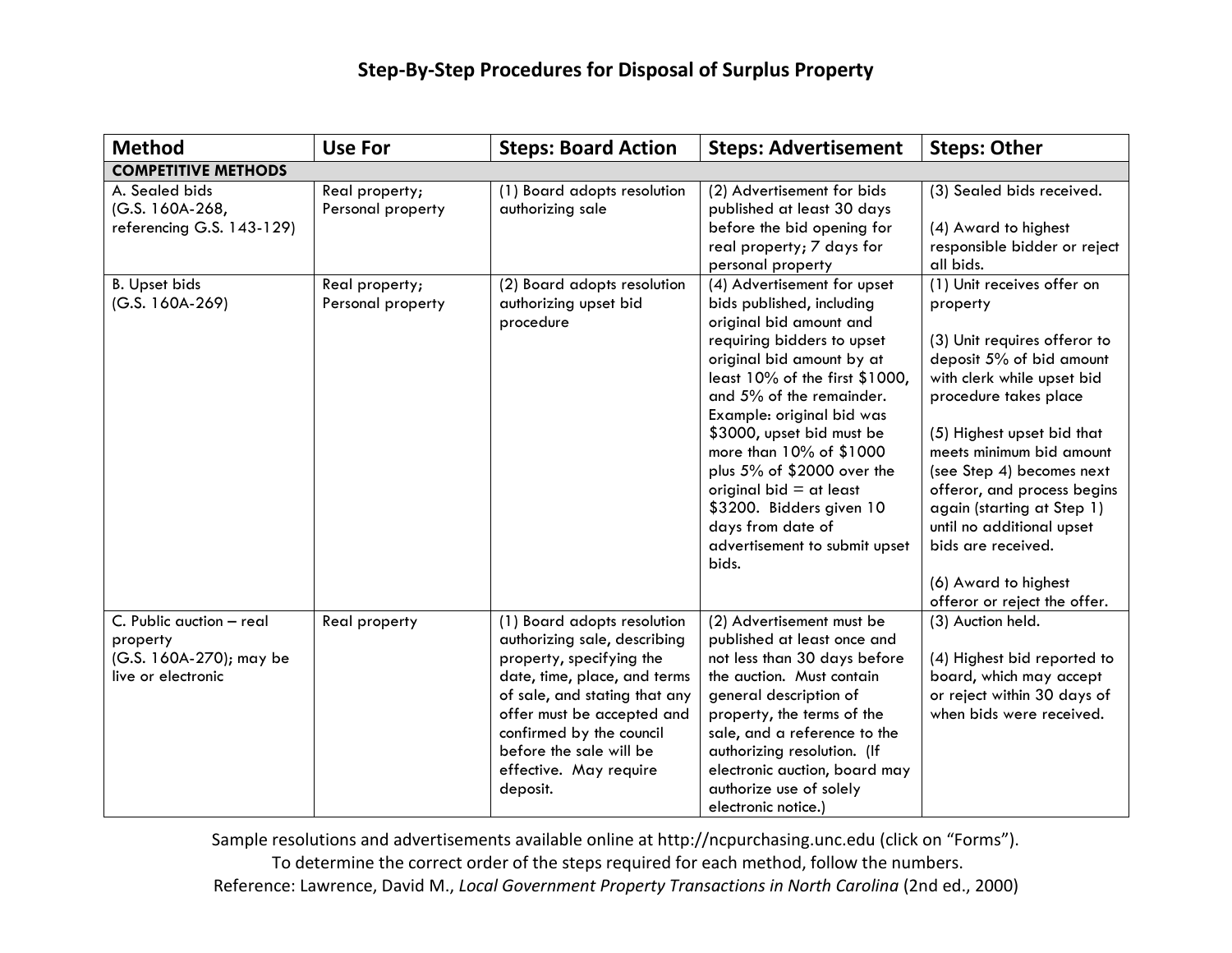| <b>Method</b>                                                                         | <b>Use For</b>                      | <b>Steps: Board Action</b>                                                                                                                                                                                                                                                          | <b>Steps: Advertisement</b>                                                                                                                                                                                                                                                                                                                                                                                                                             | <b>Steps: Other</b>                                                                                                                                                                                                                                                                                                                                                                                                      |  |
|---------------------------------------------------------------------------------------|-------------------------------------|-------------------------------------------------------------------------------------------------------------------------------------------------------------------------------------------------------------------------------------------------------------------------------------|---------------------------------------------------------------------------------------------------------------------------------------------------------------------------------------------------------------------------------------------------------------------------------------------------------------------------------------------------------------------------------------------------------------------------------------------------------|--------------------------------------------------------------------------------------------------------------------------------------------------------------------------------------------------------------------------------------------------------------------------------------------------------------------------------------------------------------------------------------------------------------------------|--|
| <b>COMPETITIVE METHODS</b>                                                            |                                     |                                                                                                                                                                                                                                                                                     |                                                                                                                                                                                                                                                                                                                                                                                                                                                         |                                                                                                                                                                                                                                                                                                                                                                                                                          |  |
| A. Sealed bids<br>(G.S. 160A-268,<br>referencing G.S. 143-129)                        | Real property;<br>Personal property | (1) Board adopts resolution<br>authorizing sale                                                                                                                                                                                                                                     | (2) Advertisement for bids<br>published at least 30 days<br>before the bid opening for<br>real property; 7 days for<br>personal property                                                                                                                                                                                                                                                                                                                | (3) Sealed bids received.<br>(4) Award to highest<br>responsible bidder or reject<br>all bids.                                                                                                                                                                                                                                                                                                                           |  |
| <b>B.</b> Upset bids<br>$(G.S. 160A-269)$                                             | Real property;<br>Personal property | (2) Board adopts resolution<br>authorizing upset bid<br>procedure                                                                                                                                                                                                                   | (4) Advertisement for upset<br>bids published, including<br>original bid amount and<br>requiring bidders to upset<br>original bid amount by at<br>least 10% of the first \$1000,<br>and 5% of the remainder.<br>Example: original bid was<br>\$3000, upset bid must be<br>more than 10% of \$1000<br>plus 5% of \$2000 over the<br>original bid $=$ at least<br>\$3200. Bidders given 10<br>days from date of<br>advertisement to submit upset<br>bids. | (1) Unit receives offer on<br>property<br>(3) Unit requires offeror to<br>deposit 5% of bid amount<br>with clerk while upset bid<br>procedure takes place<br>(5) Highest upset bid that<br>meets minimum bid amount<br>(see Step 4) becomes next<br>offeror, and process begins<br>again (starting at Step 1)<br>until no additional upset<br>bids are received.<br>(6) Award to highest<br>offeror or reject the offer. |  |
| C. Public auction - real<br>property<br>(G.S. 160A-270); may be<br>live or electronic | Real property                       | (1) Board adopts resolution<br>authorizing sale, describing<br>property, specifying the<br>date, time, place, and terms<br>of sale, and stating that any<br>offer must be accepted and<br>confirmed by the council<br>before the sale will be<br>effective. May require<br>deposit. | (2) Advertisement must be<br>published at least once and<br>not less than 30 days before<br>the auction. Must contain<br>general description of<br>property, the terms of the<br>sale, and a reference to the<br>authorizing resolution. (If<br>electronic auction, board may<br>authorize use of solely<br>electronic notice.)                                                                                                                         | (3) Auction held.<br>(4) Highest bid reported to<br>board, which may accept<br>or reject within 30 days of<br>when bids were received.                                                                                                                                                                                                                                                                                   |  |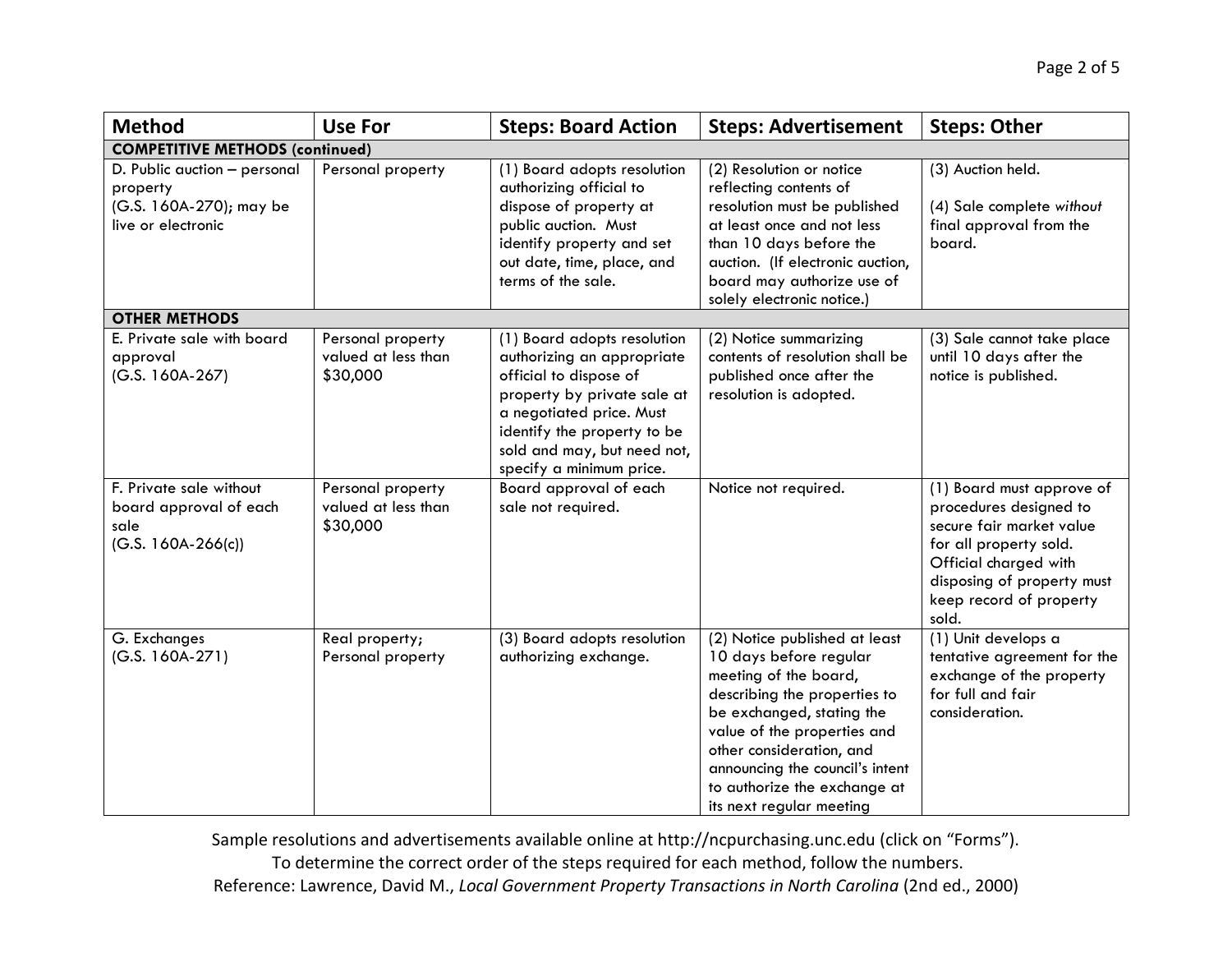| <b>Method</b>                                                                             | <b>Use For</b>                                       | <b>Steps: Board Action</b>                                                                                                                                                                                                               | <b>Steps: Advertisement</b>                                                                                                                                                                                                                                                                             | <b>Steps: Other</b>                                                                                                                                                                                  |
|-------------------------------------------------------------------------------------------|------------------------------------------------------|------------------------------------------------------------------------------------------------------------------------------------------------------------------------------------------------------------------------------------------|---------------------------------------------------------------------------------------------------------------------------------------------------------------------------------------------------------------------------------------------------------------------------------------------------------|------------------------------------------------------------------------------------------------------------------------------------------------------------------------------------------------------|
| <b>COMPETITIVE METHODS (continued)</b>                                                    |                                                      |                                                                                                                                                                                                                                          |                                                                                                                                                                                                                                                                                                         |                                                                                                                                                                                                      |
| D. Public auction - personal<br>property<br>(G.S. 160A-270); may be<br>live or electronic | Personal property                                    | (1) Board adopts resolution<br>authorizing official to<br>dispose of property at<br>public auction. Must<br>identify property and set<br>out date, time, place, and<br>terms of the sale.                                                | (2) Resolution or notice<br>reflecting contents of<br>resolution must be published<br>at least once and not less<br>than 10 days before the<br>auction. (If electronic auction,<br>board may authorize use of<br>solely electronic notice.)                                                             | (3) Auction held.<br>(4) Sale complete without<br>final approval from the<br>board.                                                                                                                  |
| <b>OTHER METHODS</b>                                                                      |                                                      |                                                                                                                                                                                                                                          |                                                                                                                                                                                                                                                                                                         |                                                                                                                                                                                                      |
| E. Private sale with board<br>approval<br>(G.S. 160A-267)                                 | Personal property<br>valued at less than<br>\$30,000 | (1) Board adopts resolution<br>authorizing an appropriate<br>official to dispose of<br>property by private sale at<br>a negotiated price. Must<br>identify the property to be<br>sold and may, but need not,<br>specify a minimum price. | (2) Notice summarizing<br>contents of resolution shall be<br>published once after the<br>resolution is adopted.                                                                                                                                                                                         | (3) Sale cannot take place<br>until 10 days after the<br>notice is published.                                                                                                                        |
| F. Private sale without<br>board approval of each<br>sale<br>$(G.S. 160A-266(c))$         | Personal property<br>valued at less than<br>\$30,000 | Board approval of each<br>sale not required.                                                                                                                                                                                             | Notice not required.                                                                                                                                                                                                                                                                                    | (1) Board must approve of<br>procedures designed to<br>secure fair market value<br>for all property sold.<br>Official charged with<br>disposing of property must<br>keep record of property<br>sold. |
| G. Exchanges<br>$(G.S. 160A-271)$                                                         | Real property;<br>Personal property                  | (3) Board adopts resolution<br>authorizing exchange.                                                                                                                                                                                     | (2) Notice published at least<br>10 days before regular<br>meeting of the board,<br>describing the properties to<br>be exchanged, stating the<br>value of the properties and<br>other consideration, and<br>announcing the council's intent<br>to authorize the exchange at<br>its next regular meeting | (1) Unit develops a<br>tentative agreement for the<br>exchange of the property<br>for full and fair<br>consideration.                                                                                |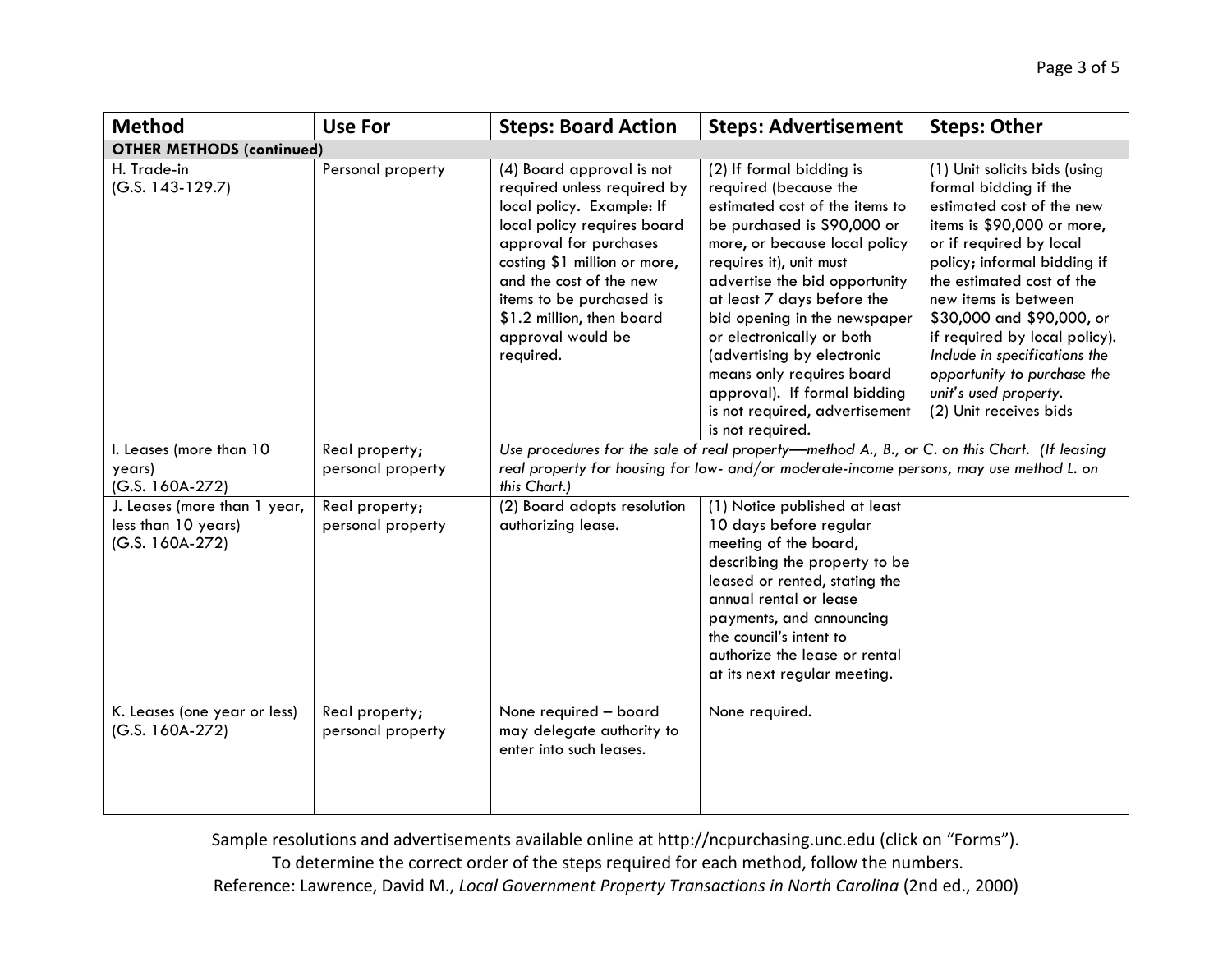| <b>Method</b>                                                          | <b>Use For</b>                      | <b>Steps: Board Action</b>                                                                                                                                                                                                                                                                           | <b>Steps: Advertisement</b>                                                                                                                                                                                                                                                                                                                                                                                                                                 | <b>Steps: Other</b>                                                                                                                                                                                                                                                                                                                                                                                               |  |
|------------------------------------------------------------------------|-------------------------------------|------------------------------------------------------------------------------------------------------------------------------------------------------------------------------------------------------------------------------------------------------------------------------------------------------|-------------------------------------------------------------------------------------------------------------------------------------------------------------------------------------------------------------------------------------------------------------------------------------------------------------------------------------------------------------------------------------------------------------------------------------------------------------|-------------------------------------------------------------------------------------------------------------------------------------------------------------------------------------------------------------------------------------------------------------------------------------------------------------------------------------------------------------------------------------------------------------------|--|
|                                                                        | <b>OTHER METHODS (continued)</b>    |                                                                                                                                                                                                                                                                                                      |                                                                                                                                                                                                                                                                                                                                                                                                                                                             |                                                                                                                                                                                                                                                                                                                                                                                                                   |  |
| H. Trade-in<br>$(G.S. 143-129.7)$                                      | Personal property                   | (4) Board approval is not<br>required unless required by<br>local policy. Example: If<br>local policy requires board<br>approval for purchases<br>costing \$1 million or more,<br>and the cost of the new<br>items to be purchased is<br>\$1.2 million, then board<br>approval would be<br>required. | (2) If formal bidding is<br>required (because the<br>estimated cost of the items to<br>be purchased is \$90,000 or<br>more, or because local policy<br>requires it), unit must<br>advertise the bid opportunity<br>at least 7 days before the<br>bid opening in the newspaper<br>or electronically or both<br>(advertising by electronic<br>means only requires board<br>approval). If formal bidding<br>is not required, advertisement<br>is not required. | (1) Unit solicits bids (using<br>formal bidding if the<br>estimated cost of the new<br>items is \$90,000 or more,<br>or if required by local<br>policy; informal bidding if<br>the estimated cost of the<br>new items is between<br>\$30,000 and \$90,000, or<br>if required by local policy).<br>Include in specifications the<br>opportunity to purchase the<br>unit's used property.<br>(2) Unit receives bids |  |
| I. Leases (more than 10<br>years)<br>(G.S. 160A-272)                   | Real property;<br>personal property | Use procedures for the sale of real property-method A., B., or C. on this Chart. (If leasing<br>real property for housing for low- and/or moderate-income persons, may use method L. on<br>this Chart.)                                                                                              |                                                                                                                                                                                                                                                                                                                                                                                                                                                             |                                                                                                                                                                                                                                                                                                                                                                                                                   |  |
| J. Leases (more than 1 year,<br>less than 10 years)<br>(G.S. 160A-272) | Real property;<br>personal property | (2) Board adopts resolution<br>authorizing lease.                                                                                                                                                                                                                                                    | (1) Notice published at least<br>10 days before regular<br>meeting of the board,<br>describing the property to be<br>leased or rented, stating the<br>annual rental or lease<br>payments, and announcing<br>the council's intent to<br>authorize the lease or rental<br>at its next regular meeting.                                                                                                                                                        |                                                                                                                                                                                                                                                                                                                                                                                                                   |  |
| K. Leases (one year or less)<br>$(G.S. 160A-272)$                      | Real property;<br>personal property | None required - board<br>may delegate authority to<br>enter into such leases.                                                                                                                                                                                                                        | None required.                                                                                                                                                                                                                                                                                                                                                                                                                                              |                                                                                                                                                                                                                                                                                                                                                                                                                   |  |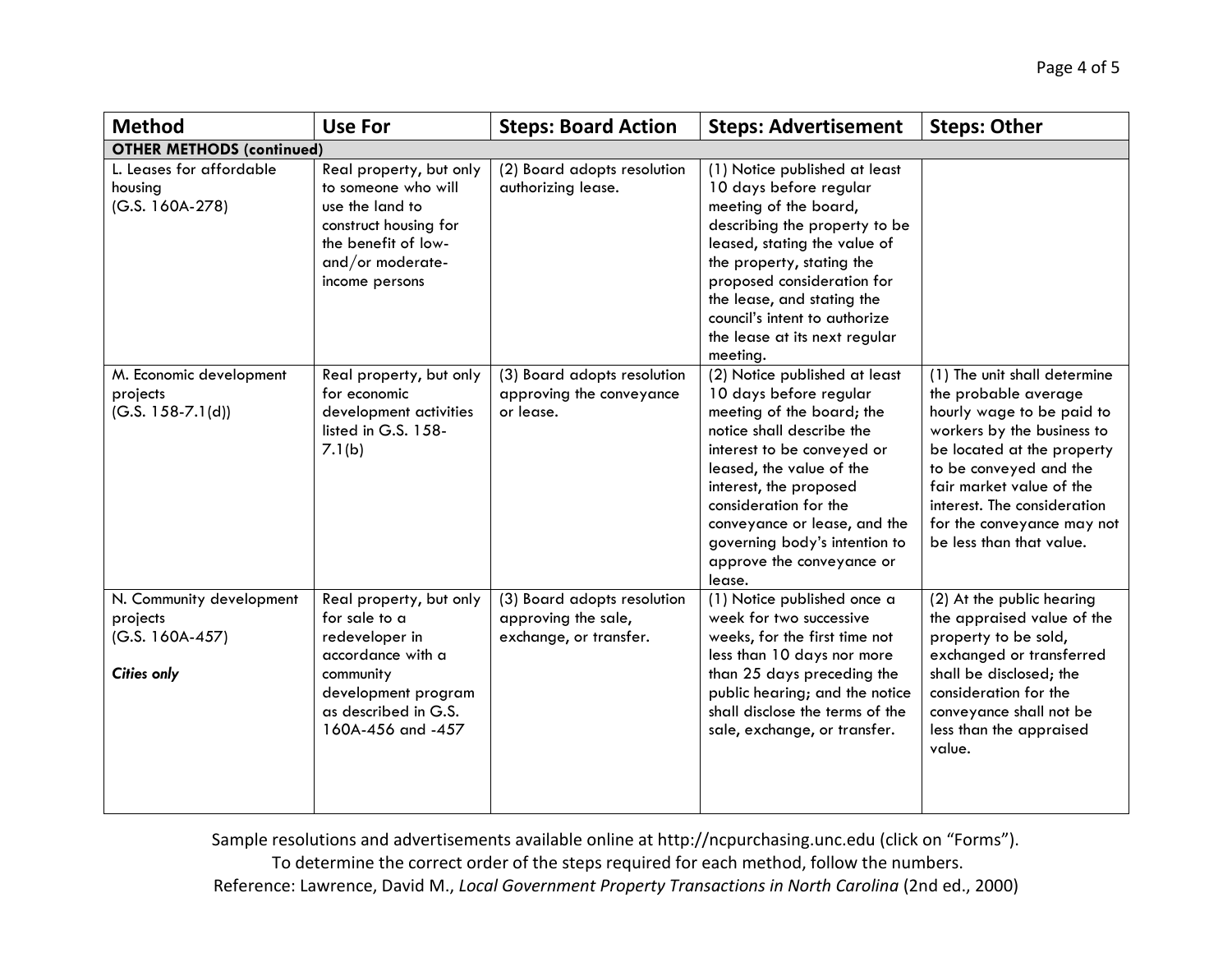| <b>Method</b>                                                                   | <b>Use For</b>                                                                                                                                                   | <b>Steps: Board Action</b>                                                   | <b>Steps: Advertisement</b>                                                                                                                                                                                                                                                                                                            | <b>Steps: Other</b>                                                                                                                                                                                                                                                                          |
|---------------------------------------------------------------------------------|------------------------------------------------------------------------------------------------------------------------------------------------------------------|------------------------------------------------------------------------------|----------------------------------------------------------------------------------------------------------------------------------------------------------------------------------------------------------------------------------------------------------------------------------------------------------------------------------------|----------------------------------------------------------------------------------------------------------------------------------------------------------------------------------------------------------------------------------------------------------------------------------------------|
| <b>OTHER METHODS (continued)</b>                                                |                                                                                                                                                                  |                                                                              |                                                                                                                                                                                                                                                                                                                                        |                                                                                                                                                                                                                                                                                              |
| L. Leases for affordable<br>housing<br>$(G.S. 160A-278)$                        | Real property, but only<br>to someone who will<br>use the land to<br>construct housing for<br>the benefit of low-<br>and/or moderate-<br>income persons          | (2) Board adopts resolution<br>authorizing lease.                            | (1) Notice published at least<br>10 days before regular<br>meeting of the board,<br>describing the property to be<br>leased, stating the value of<br>the property, stating the<br>proposed consideration for<br>the lease, and stating the<br>council's intent to authorize<br>the lease at its next regular<br>meeting.               |                                                                                                                                                                                                                                                                                              |
| M. Economic development<br>projects<br>$(G.S. 158-7.1(d))$                      | Real property, but only<br>for economic<br>development activities<br>listed in G.S. 158-<br>7.1(b)                                                               | (3) Board adopts resolution<br>approving the conveyance<br>or lease.         | (2) Notice published at least<br>10 days before regular<br>meeting of the board; the<br>notice shall describe the<br>interest to be conveyed or<br>leased, the value of the<br>interest, the proposed<br>consideration for the<br>conveyance or lease, and the<br>governing body's intention to<br>approve the conveyance or<br>lease. | (1) The unit shall determine<br>the probable average<br>hourly wage to be paid to<br>workers by the business to<br>be located at the property<br>to be conveyed and the<br>fair market value of the<br>interest. The consideration<br>for the conveyance may not<br>be less than that value. |
| N. Community development<br>projects<br>$(G.S. 160A-457)$<br><b>Cities only</b> | Real property, but only<br>for sale to a<br>redeveloper in<br>accordance with a<br>community<br>development program<br>as described in G.S.<br>160A-456 and -457 | (3) Board adopts resolution<br>approving the sale,<br>exchange, or transfer. | (1) Notice published once a<br>week for two successive<br>weeks, for the first time not<br>less than 10 days nor more<br>than 25 days preceding the<br>public hearing; and the notice<br>shall disclose the terms of the<br>sale, exchange, or transfer.                                                                               | (2) At the public hearing<br>the appraised value of the<br>property to be sold,<br>exchanged or transferred<br>shall be disclosed; the<br>consideration for the<br>conveyance shall not be<br>less than the appraised<br>value.                                                              |